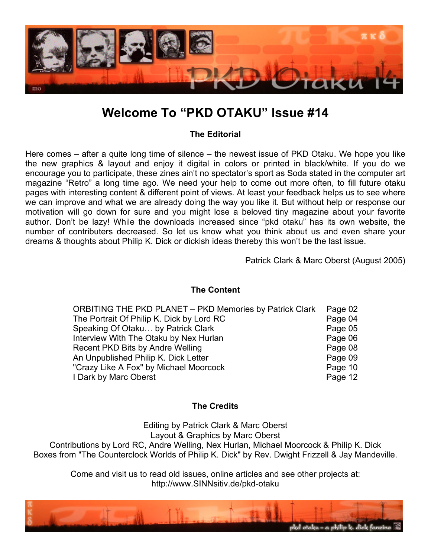

# **Welcome To "PKD OTAKU" Issue #14**

# **The Editorial**

Here comes – after a quite long time of silence – the newest issue of PKD Otaku. We hope you like the new graphics & layout and enjoy it digital in colors or printed in black/white. If you do we encourage you to participate, these zines ain't no spectator's sport as Soda stated in the computer art magazine "Retro" a long time ago. We need your help to come out more often, to fill future otaku pages with interesting content & different point of views. At least your feedback helps us to see where we can improve and what we are already doing the way you like it. But without help or response our motivation will go down for sure and you might lose a beloved tiny magazine about your favorite author. Don't be lazy! While the downloads increased since "pkd otaku" has its own website, the number of contributers decreased. So let us know what you think about us and even share your dreams & thoughts about Philip K. Dick or dickish ideas thereby this won't be the last issue.

Patrick Clark & Marc Oberst (August 2005)

#### **The Content**

| <b>ORBITING THE PKD PLANET - PKD Memories by Patrick Clark</b> | Page 02 |
|----------------------------------------------------------------|---------|
| The Portrait Of Philip K. Dick by Lord RC                      | Page 04 |
| Speaking Of Otaku by Patrick Clark                             | Page 05 |
| Interview With The Otaku by Nex Hurlan                         | Page 06 |
| Recent PKD Bits by Andre Welling                               | Page 08 |
| An Unpublished Philip K. Dick Letter                           | Page 09 |
| "Crazy Like A Fox" by Michael Moorcock                         | Page 10 |
| I Dark by Marc Oberst                                          | Page 12 |

#### **The Credits**

Editing by Patrick Clark & Marc Oberst Layout & Graphics by Marc Oberst Contributions by Lord RC, Andre Welling, Nex Hurlan, Michael Moorcock & Philip K. Dick Boxes from "The Counterclock Worlds of Philip K. Dick" by Rev. Dwight Frizzell & Jay Mandeville.

> Come and visit us to read old issues, online articles and see other projects at: http://www.SINNsitiv.de/pkd-otaku

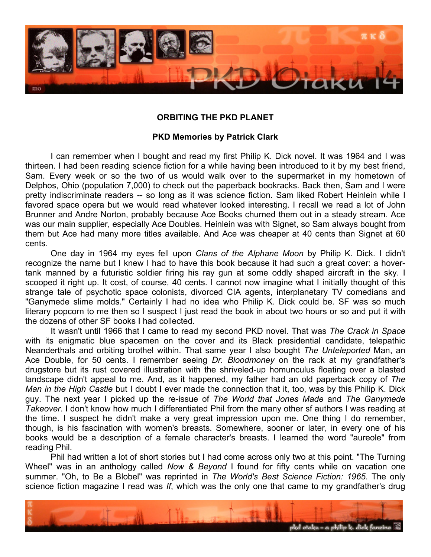

### **ORBITING THE PKD PLANET**

#### **PKD Memories by Patrick Clark**

I can remember when I bought and read my first Philip K. Dick novel. It was 1964 and I was thirteen. I had been reading science fiction for a while having been introduced to it by my best friend, Sam. Every week or so the two of us would walk over to the supermarket in my hometown of Delphos, Ohio (population 7,000) to check out the paperback bookracks. Back then, Sam and I were pretty indiscriminate readers -- so long as it was science fiction. Sam liked Robert Heinlein while I favored space opera but we would read whatever looked interesting. I recall we read a lot of John Brunner and Andre Norton, probably because Ace Books churned them out in a steady stream. Ace was our main supplier, especially Ace Doubles. Heinlein was with Signet, so Sam always bought from them but Ace had many more titles available. And Ace was cheaper at 40 cents than Signet at 60 cents.

One day in 1964 my eyes fell upon *Clans of the Alphane Moon* by Philip K. Dick. I didn't recognize the name but I knew I had to have this book because it had such a great cover: a hovertank manned by a futuristic soldier firing his ray gun at some oddly shaped aircraft in the sky. I scooped it right up. It cost, of course, 40 cents. I cannot now imagine what I initially thought of this strange tale of psychotic space colonists, divorced CIA agents, interplanetary TV comedians and "Ganymede slime molds." Certainly I had no idea who Philip K. Dick could be. SF was so much literary popcorn to me then so I suspect I just read the book in about two hours or so and put it with the dozens of other SF books I had collected.

It wasn't until 1966 that I came to read my second PKD novel. That was *The Crack in Space* with its enigmatic blue spacemen on the cover and its Black presidential candidate, telepathic Neanderthals and orbiting brothel within. That same year I also bought *The Unteleported* Man, an Ace Double, for 50 cents. I remember seeing *Dr. Bloodmoney* on the rack at my grandfather's drugstore but its rust covered illustration with the shriveled-up homunculus floating over a blasted landscape didn't appeal to me. And, as it happened, my father had an old paperback copy of *The Man in the High Castle* but I doubt I ever made the connection that it, too, was by this Philip K. Dick guy. The next year I picked up the re-issue of *The World that Jones Made* and *The Ganymede Takeover*. I don't know how much I differentiated Phil from the many other sf authors I was reading at the time. I suspect he didn't make a very great impression upon me. One thing I do remember, though, is his fascination with women's breasts. Somewhere, sooner or later, in every one of his books would be a description of a female character's breasts. I learned the word "aureole" from reading Phil.

Phil had written a lot of short stories but I had come across only two at this point. "The Turning Wheel" was in an anthology called *Now & Beyond* I found for fifty cents while on vacation one summer. "Oh, to Be a Blobel" was reprinted in *The World's Best Science Fiction: 1965*. The only science fiction magazine I read was *If*, which was the only one that came to my grandfather's drug

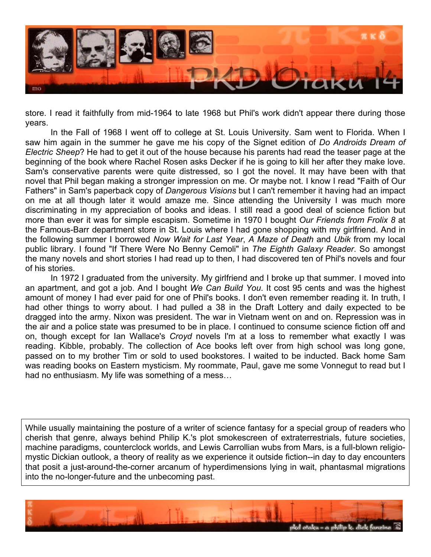

store. I read it faithfully from mid-1964 to late 1968 but Phil's work didn't appear there during those years.

In the Fall of 1968 I went off to college at St. Louis University. Sam went to Florida. When I saw him again in the summer he gave me his copy of the Signet edition of *Do Androids Dream of Electric Sheep*? He had to get it out of the house because his parents had read the teaser page at the beginning of the book where Rachel Rosen asks Decker if he is going to kill her after they make love. Sam's conservative parents were quite distressed, so I got the novel. It may have been with that novel that Phil began making a stronger impression on me. Or maybe not. I know I read "Faith of Our Fathers" in Sam's paperback copy of *Dangerous Visions* but I can't remember it having had an impact on me at all though later it would amaze me. Since attending the University I was much more discriminating in my appreciation of books and ideas. I still read a good deal of science fiction but more than ever it was for simple escapism. Sometime in 1970 I bought *Our Friends from Frolix 8* at the Famous-Barr department store in St. Louis where I had gone shopping with my girlfriend. And in the following summer I borrowed *Now Wait for Last Year*, *A Maze of Death* and *Ubik* from my local public library. I found "If There Were No Benny Cemoli" in *The Eighth Galaxy Reader*. So amongst the many novels and short stories I had read up to then, I had discovered ten of Phil's novels and four of his stories.

In 1972 I graduated from the university. My girlfriend and I broke up that summer. I moved into an apartment, and got a job. And I bought *We Can Build You*. It cost 95 cents and was the highest amount of money I had ever paid for one of Phil's books. I don't even remember reading it. In truth, I had other things to worry about. I had pulled a 38 in the Draft Lottery and daily expected to be dragged into the army. Nixon was president. The war in Vietnam went on and on. Repression was in the air and a police state was presumed to be in place. I continued to consume science fiction off and on, though except for Ian Wallace's *Croyd* novels I'm at a loss to remember what exactly I was reading. Kibble, probably. The collection of Ace books left over from high school was long gone, passed on to my brother Tim or sold to used bookstores. I waited to be inducted. Back home Sam was reading books on Eastern mysticism. My roommate, Paul, gave me some Vonnegut to read but I had no enthusiasm. My life was something of a mess…

While usually maintaining the posture of a writer of science fantasy for a special group of readers who cherish that genre, always behind Philip K.'s plot smokescreen of extraterrestrials, future societies, machine paradigms, counterclock worlds, and Lewis Carrollian wubs from Mars, is a full-blown religiomystic Dickian outlook, a theory of reality as we experience it outside fiction--in day to day encounters that posit a just-around-the-corner arcanum of hyperdimensions lying in wait, phantasmal migrations into the no-longer-future and the unbecoming past.

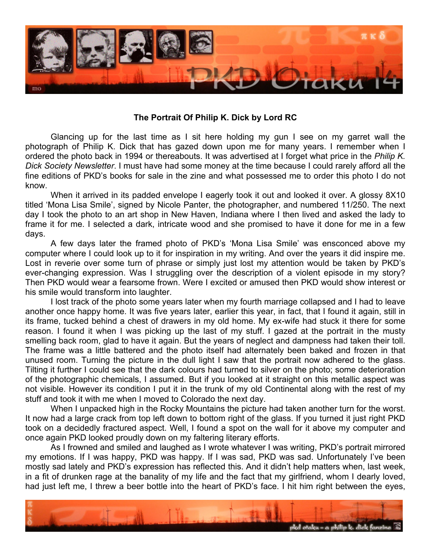

#### **The Portrait Of Philip K. Dick by Lord RC**

Glancing up for the last time as I sit here holding my gun I see on my garret wall the photograph of Philip K. Dick that has gazed down upon me for many years. I remember when I ordered the photo back in 1994 or thereabouts. It was advertised at I forget what price in the *Philip K. Dick Society Newsletter*. I must have had some money at the time because I could rarely afford all the fine editions of PKD's books for sale in the zine and what possessed me to order this photo I do not know.

When it arrived in its padded envelope I eagerly took it out and looked it over. A glossy 8X10 titled 'Mona Lisa Smile', signed by Nicole Panter, the photographer, and numbered 11/250. The next day I took the photo to an art shop in New Haven, Indiana where I then lived and asked the lady to frame it for me. I selected a dark, intricate wood and she promised to have it done for me in a few days.

A few days later the framed photo of PKD's 'Mona Lisa Smile' was ensconced above my computer where I could look up to it for inspiration in my writing. And over the years it did inspire me. Lost in reverie over some turn of phrase or simply just lost my attention would be taken by PKD's ever-changing expression. Was I struggling over the description of a violent episode in my story? Then PKD would wear a fearsome frown. Were I excited or amused then PKD would show interest or his smile would transform into laughter.

I lost track of the photo some years later when my fourth marriage collapsed and I had to leave another once happy home. It was five years later, earlier this year, in fact, that I found it again, still in its frame, tucked behind a chest of drawers in my old home. My ex-wife had stuck it there for some reason. I found it when I was picking up the last of my stuff. I gazed at the portrait in the musty smelling back room, glad to have it again. But the years of neglect and dampness had taken their toll. The frame was a little battered and the photo itself had alternately been baked and frozen in that unused room. Turning the picture in the dull light I saw that the portrait now adhered to the glass. Tilting it further I could see that the dark colours had turned to silver on the photo; some deterioration of the photographic chemicals, I assumed. But if you looked at it straight on this metallic aspect was not visible. However its condition I put it in the trunk of my old Continental along with the rest of my stuff and took it with me when I moved to Colorado the next day.

When I unpacked high in the Rocky Mountains the picture had taken another turn for the worst. It now had a large crack from top left down to bottom right of the glass. If you turned it just right PKD took on a decidedly fractured aspect. Well, I found a spot on the wall for it above my computer and once again PKD looked proudly down on my faltering literary efforts.

As I frowned and smiled and laughed as I wrote whatever I was writing, PKD's portrait mirrored my emotions. If I was happy, PKD was happy. If I was sad, PKD was sad. Unfortunately I've been mostly sad lately and PKD's expression has reflected this. And it didn't help matters when, last week, in a fit of drunken rage at the banality of my life and the fact that my girlfriend, whom I dearly loved, had just left me, I threw a beer bottle into the heart of PKD's face. I hit him right between the eyes,

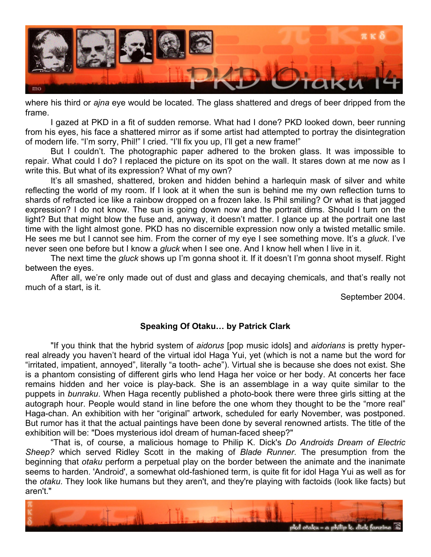

where his third or *ajna* eye would be located. The glass shattered and dregs of beer dripped from the frame.

I gazed at PKD in a fit of sudden remorse. What had I done? PKD looked down, beer running from his eyes, his face a shattered mirror as if some artist had attempted to portray the disintegration of modern life. "I'm sorry, Phil!" I cried. "I'll fix you up, I'll get a new frame!"

But I couldn't. The photographic paper adhered to the broken glass. It was impossible to repair. What could I do? I replaced the picture on its spot on the wall. It stares down at me now as I write this. But what of its expression? What of my own?

It's all smashed, shattered, broken and hidden behind a harlequin mask of silver and white reflecting the world of my room. If I look at it when the sun is behind me my own reflection turns to shards of refracted ice like a rainbow dropped on a frozen lake. Is Phil smiling? Or what is that jagged expression? I do not know. The sun is going down now and the portrait dims. Should I turn on the light? But that might blow the fuse and, anyway, it doesn't matter. I glance up at the portrait one last time with the light almost gone. PKD has no discernible expression now only a twisted metallic smile. He sees me but I cannot see him. From the corner of my eye I see something move. It's a *gluck*. I've never seen one before but I know a *gluck* when I see one. And I know hell when I live in it.

The next time the *gluck* shows up I'm gonna shoot it. If it doesn't I'm gonna shoot myself. Right between the eyes.

After all, we're only made out of dust and glass and decaying chemicals, and that's really not much of a start, is it.

September 2004.

#### **Speaking Of Otaku… by Patrick Clark**

"If you think that the hybrid system of *aidorus* [pop music idols] and *aidorians* is pretty hyperreal already you haven't heard of the virtual idol Haga Yui, yet (which is not a name but the word for "irritated, impatient, annoyed", literally "a tooth- ache"). Virtual she is because she does not exist. She is a phantom consisting of different girls who lend Haga her voice or her body. At concerts her face remains hidden and her voice is play-back. She is an assemblage in a way quite similar to the puppets in *bunraku*. When Haga recently published a photo-book there were three girls sitting at the autograph hour. People would stand in line before the one whom they thought to be the "more real" Haga-chan. An exhibition with her "original" artwork, scheduled for early November, was postponed. But rumor has it that the actual paintings have been done by several renowned artists. The title of the exhibition will be: "Does mysterious idol dream of human-faced sheep?"

"That is, of course, a malicious homage to Philip K. Dick's *Do Androids Dream of Electric Sheep?* which served Ridley Scott in the making of *Blade Runner*. The presumption from the beginning that *otaku* perform a perpetual play on the border between the animate and the inanimate seems to harden. 'Android', a somewhat old-fashioned term, is quite fit for idol Haga Yui as well as for the *otaku*. They look like humans but they aren't, and they're playing with factoids (look like facts) but aren't."

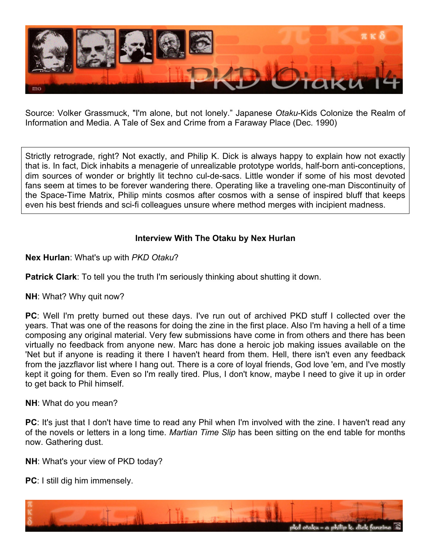

Source: Volker Grassmuck, "I'm alone, but not lonely." Japanese *Otaku*-Kids Colonize the Realm of Information and Media. A Tale of Sex and Crime from a Faraway Place (Dec. 1990)

Strictly retrograde, right? Not exactly, and Philip K. Dick is always happy to explain how not exactly that is. In fact, Dick inhabits a menagerie of unrealizable prototype worlds, half-born anti-conceptions, dim sources of wonder or brightly lit techno cul-de-sacs. Little wonder if some of his most devoted fans seem at times to be forever wandering there. Operating like a traveling one-man Discontinuity of the Space-Time Matrix, Philip mints cosmos after cosmos with a sense of inspired bluff that keeps even his best friends and sci-fi colleagues unsure where method merges with incipient madness.

# **Interview With The Otaku by Nex Hurlan**

**Nex Hurlan**: What's up with *PKD Otaku*?

**Patrick Clark**: To tell you the truth I'm seriously thinking about shutting it down.

**NH**: What? Why quit now?

**PC:** Well I'm pretty burned out these days. I've run out of archived PKD stuff I collected over the years. That was one of the reasons for doing the zine in the first place. Also I'm having a hell of a time composing any original material. Very few submissions have come in from others and there has been virtually no feedback from anyone new. Marc has done a heroic job making issues available on the 'Net but if anyone is reading it there I haven't heard from them. Hell, there isn't even any feedback from the jazzflavor list where I hang out. There is a core of loyal friends, God love 'em, and I've mostly kept it going for them. Even so I'm really tired. Plus, I don't know, maybe I need to give it up in order to get back to Phil himself.

**NH**: What do you mean?

**PC**: It's just that I don't have time to read any Phil when I'm involved with the zine. I haven't read any of the novels or letters in a long time. *Martian Time Slip* has been sitting on the end table for months now. Gathering dust.

**NH**: What's your view of PKD today?

**PC:** I still dig him immensely.

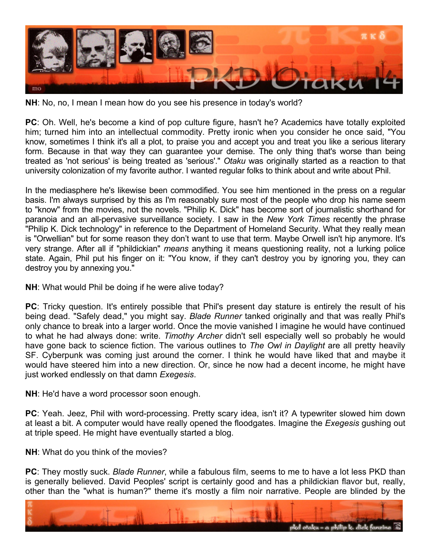

**NH**: No, no, I mean I mean how do you see his presence in today's world?

**PC**: Oh. Well, he's become a kind of pop culture figure, hasn't he? Academics have totally exploited him; turned him into an intellectual commodity. Pretty ironic when you consider he once said, "You know, sometimes I think it's all a plot, to praise you and accept you and treat you like a serious literary form. Because in that way they can guarantee your demise. The only thing that's worse than being treated as 'not serious' is being treated as 'serious'." *Otaku* was originally started as a reaction to that university colonization of my favorite author. I wanted regular folks to think about and write about Phil.

In the mediasphere he's likewise been commodified. You see him mentioned in the press on a regular basis. I'm always surprised by this as I'm reasonably sure most of the people who drop his name seem to "know" from the movies, not the novels. "Philip K. Dick" has become sort of journalistic shorthand for paranoia and an all-pervasive surveillance society. I saw in the *New York Times* recently the phrase "Philip K. Dick technology" in reference to the Department of Homeland Security. What they really mean is "Orwellian" but for some reason they don't want to use that term. Maybe Orwell isn't hip anymore. It's very strange. After all if "phildickian" *means* anything it means questioning reality, not a lurking police state. Again, Phil put his finger on it: "You know, if they can't destroy you by ignoring you, they can destroy you by annexing you."

#### **NH**: What would Phil be doing if he were alive today?

**PC**: Tricky question. It's entirely possible that Phil's present day stature is entirely the result of his being dead. "Safely dead," you might say. *Blade Runner* tanked originally and that was really Phil's only chance to break into a larger world. Once the movie vanished I imagine he would have continued to what he had always done: write. *Timothy Archer* didn't sell especially well so probably he would have gone back to science fiction. The various outlines to *The Owl in Daylight* are all pretty heavily SF. Cyberpunk was coming just around the corner. I think he would have liked that and maybe it would have steered him into a new direction. Or, since he now had a decent income, he might have just worked endlessly on that damn *Exegesis*.

**NH**: He'd have a word processor soon enough.

**PC**: Yeah. Jeez, Phil with word-processing. Pretty scary idea, isn't it? A typewriter slowed him down at least a bit. A computer would have really opened the floodgates. Imagine the *Exegesis* gushing out at triple speed. He might have eventually started a blog.

# **NH**: What do you think of the movies?

**PC**: They mostly suck. *Blade Runner*, while a fabulous film, seems to me to have a lot less PKD than is generally believed. David Peoples' script is certainly good and has a phildickian flavor but, really, other than the "what is human?" theme it's mostly a film noir narrative. People are blinded by the

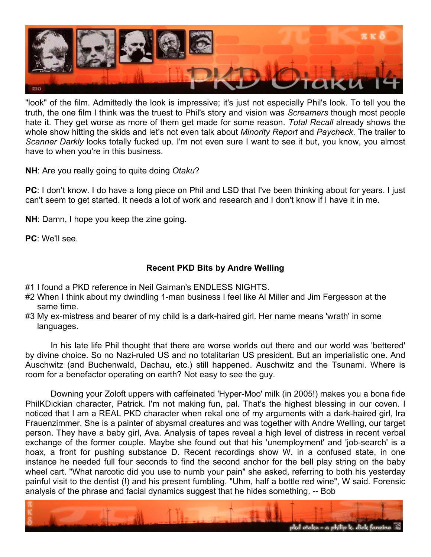

"look" of the film. Admittedly the look is impressive; it's just not especially Phil's look. To tell you the truth, the one film I think was the truest to Phil's story and vision was *Screamers* though most people hate it. They get worse as more of them get made for some reason. *Total Recall* already shows the whole show hitting the skids and let's not even talk about *Minority Report* and *Paycheck*. The trailer to *Scanner Darkly* looks totally fucked up. I'm not even sure I want to see it but, you know, you almost have to when you're in this business.

**NH**: Are you really going to quite doing *Otaku*?

**PC**: I don't know. I do have a long piece on Phil and LSD that I've been thinking about for years. I just can't seem to get started. It needs a lot of work and research and I don't know if I have it in me.

**NH**: Damn, I hope you keep the zine going.

**PC**: We'll see.

# **Recent PKD Bits by Andre Welling**

- #1 I found a PKD reference in Neil Gaiman's ENDLESS NIGHTS.
- #2 When I think about my dwindling 1-man business I feel like Al Miller and Jim Fergesson at the same time.
- #3 My ex-mistress and bearer of my child is a dark-haired girl. Her name means 'wrath' in some languages.

In his late life Phil thought that there are worse worlds out there and our world was 'bettered' by divine choice. So no Nazi-ruled US and no totalitarian US president. But an imperialistic one. And Auschwitz (and Buchenwald, Dachau, etc.) still happened. Auschwitz and the Tsunami. Where is room for a benefactor operating on earth? Not easy to see the guy.

Downing your Zoloft uppers with caffeinated 'Hyper-Moo' milk (in 2005!) makes you a bona fide PhilKDickian character, Patrick. I'm not making fun, pal. That's the highest blessing in our coven. I noticed that I am a REAL PKD character when rekal one of my arguments with a dark-haired girl, Ira Frauenzimmer. She is a painter of abysmal creatures and was together with Andre Welling, our target person. They have a baby girl, Ava. Analysis of tapes reveal a high level of distress in recent verbal exchange of the former couple. Maybe she found out that his 'unemployment' and 'job-search' is a hoax, a front for pushing substance D. Recent recordings show W. in a confused state, in one instance he needed full four seconds to find the second anchor for the bell play string on the baby wheel cart. "What narcotic did you use to numb your pain" she asked, referring to both his yesterday painful visit to the dentist (!) and his present fumbling. "Uhm, half a bottle red wine", W said. Forensic analysis of the phrase and facial dynamics suggest that he hides something. -- Bob

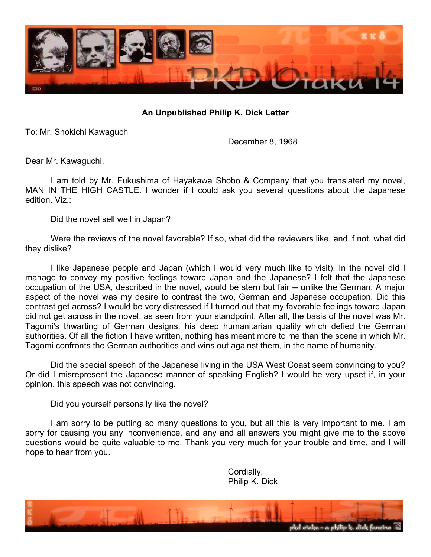

## **An Unpublished Philip K. Dick Letter**

To: Mr. Shokichi Kawaguchi

December 8, 1968

Dear Mr. Kawaguchi,

I am told by Mr. Fukushima of Hayakawa Shobo & Company that you translated my novel, MAN IN THE HIGH CASTLE. I wonder if I could ask you several questions about the Japanese edition. Viz.:

Did the novel sell well in Japan?

Were the reviews of the novel favorable? If so, what did the reviewers like, and if not, what did they dislike?

I like Japanese people and Japan (which I would very much like to visit). In the novel did I manage to convey my positive feelings toward Japan and the Japanese? I felt that the Japanese occupation of the USA, described in the novel, would be stern but fair -- unlike the German. A major aspect of the novel was my desire to contrast the two, German and Japanese occupation. Did this contrast get across? I would be very distressed if I turned out that my favorable feelings toward Japan did not get across in the novel, as seen from your standpoint. After all, the basis of the novel was Mr. Tagomi's thwarting of German designs, his deep humanitarian quality which defied the German authorities. Of all the fiction I have written, nothing has meant more to me than the scene in which Mr. Tagomi confronts the German authorities and wins out against them, in the name of humanity.

Did the special speech of the Japanese living in the USA West Coast seem convincing to you? Or did I misrepresent the Japanese manner of speaking English? I would be very upset if, in your opinion, this speech was not convincing.

Did you yourself personally like the novel?

I am sorry to be putting so many questions to you, but all this is very important to me. I am sorry for causing you any inconvenience, and any and all answers you might give me to the above questions would be quite valuable to me. Thank you very much for your trouble and time, and I will hope to hear from you.

> Cordially, Philip K. Dick

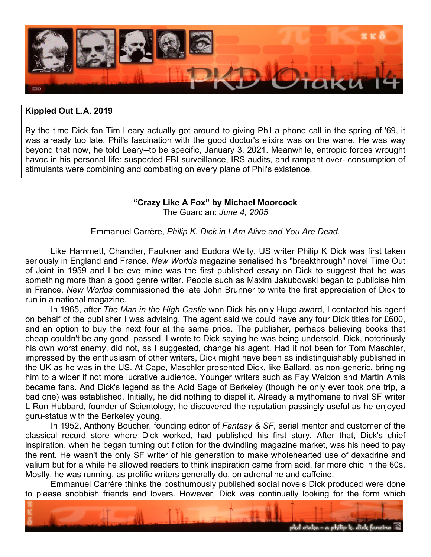

#### **Kippled Out L.A. 2019**

By the time Dick fan Tim Leary actually got around to giving Phil a phone call in the spring of '69, it was already too late. Phil's fascination with the good doctor's elixirs was on the wane. He was way beyond that now, he told Leary--to be specific, January 3, 2021. Meanwhile, entropic forces wrought havoc in his personal life: suspected FBI surveillance, IRS audits, and rampant over- consumption of stimulants were combining and combating on every plane of Phil's existence.

# **"Crazy Like A Fox" by Michael Moorcock**

The Guardian: *June 4, 2005* 

Emmanuel Carrère, *Philip K. Dick in I Am Alive and You Are Dead.* 

Like Hammett, Chandler, Faulkner and Eudora Welty, US writer Philip K Dick was first taken seriously in England and France. *New Worlds* magazine serialised his "breakthrough" novel Time Out of Joint in 1959 and I believe mine was the first published essay on Dick to suggest that he was something more than a good genre writer. People such as Maxim Jakubowski began to publicise him in France. *New Worlds* commissioned the late John Brunner to write the first appreciation of Dick to run in a national magazine.

In 1965, after *The Man in the High Castle* won Dick his only Hugo award, I contacted his agent on behalf of the publisher I was advising. The agent said we could have any four Dick titles for £600, and an option to buy the next four at the same price. The publisher, perhaps believing books that cheap couldn't be any good, passed. I wrote to Dick saying he was being undersold. Dick, notoriously his own worst enemy, did not, as I suggested, change his agent. Had it not been for Tom Maschler, impressed by the enthusiasm of other writers, Dick might have been as indistinguishably published in the UK as he was in the US. At Cape, Maschler presented Dick, like Ballard, as non-generic, bringing him to a wider if not more lucrative audience. Younger writers such as Fay Weldon and Martin Amis became fans. And Dick's legend as the Acid Sage of Berkeley (though he only ever took one trip, a bad one) was established. Initially, he did nothing to dispel it. Already a mythomane to rival SF writer L Ron Hubbard, founder of Scientology, he discovered the reputation passingly useful as he enjoyed guru-status with the Berkeley young.

In 1952, Anthony Boucher, founding editor of *Fantasy & SF*, serial mentor and customer of the classical record store where Dick worked, had published his first story. After that, Dick's chief inspiration, when he began turning out fiction for the dwindling magazine market, was his need to pay the rent. He wasn't the only SF writer of his generation to make wholehearted use of dexadrine and valium but for a while he allowed readers to think inspiration came from acid, far more chic in the 60s. Mostly, he was running, as prolific writers generally do, on adrenaline and caffeine.

Emmanuel Carrère thinks the posthumously published social novels Dick produced were done to please snobbish friends and lovers. However, Dick was continually looking for the form which

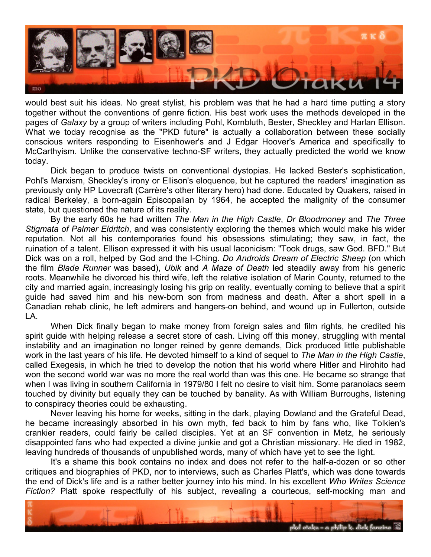

would best suit his ideas. No great stylist, his problem was that he had a hard time putting a story together without the conventions of genre fiction. His best work uses the methods developed in the pages of *Galaxy* by a group of writers including Pohl, Kornbluth, Bester, Sheckley and Harlan Ellison. What we today recognise as the "PKD future" is actually a collaboration between these socially conscious writers responding to Eisenhower's and J Edgar Hoover's America and specifically to McCarthyism. Unlike the conservative techno-SF writers, they actually predicted the world we know today.

Dick began to produce twists on conventional dystopias. He lacked Bester's sophistication, Pohl's Marxism, Sheckley's irony or Ellison's eloquence, but he captured the readers' imagination as previously only HP Lovecraft (Carrère's other literary hero) had done. Educated by Quakers, raised in radical Berkeley, a born-again Episcopalian by 1964, he accepted the malignity of the consumer state, but questioned the nature of its reality.

By the early 60s he had written *The Man in the High Castle*, *Dr Bloodmoney* and *The Three Stigmata of Palmer Eldritch*, and was consistently exploring the themes which would make his wider reputation. Not all his contemporaries found his obsessions stimulating; they saw, in fact, the ruination of a talent. Ellison expressed it with his usual laconicism: "Took drugs, saw God. BFD." But Dick was on a roll, helped by God and the I-Ching. *Do Androids Dream of Electric Sheep* (on which the film *Blade Runner* was based), *Ubik* and *A Maze of Death* led steadily away from his generic roots. Meanwhile he divorced his third wife, left the relative isolation of Marin County, returned to the city and married again, increasingly losing his grip on reality, eventually coming to believe that a spirit guide had saved him and his new-born son from madness and death. After a short spell in a Canadian rehab clinic, he left admirers and hangers-on behind, and wound up in Fullerton, outside LA.

When Dick finally began to make money from foreign sales and film rights, he credited his spirit guide with helping release a secret store of cash. Living off this money, struggling with mental instability and an imagination no longer reined by genre demands, Dick produced little publishable work in the last years of his life. He devoted himself to a kind of sequel to *The Man in the High Castle*, called Exegesis, in which he tried to develop the notion that his world where Hitler and Hirohito had won the second world war was no more the real world than was this one. He became so strange that when I was living in southern California in 1979/80 I felt no desire to visit him. Some paranoiacs seem touched by divinity but equally they can be touched by banality. As with William Burroughs, listening to conspiracy theories could be exhausting.

Never leaving his home for weeks, sitting in the dark, playing Dowland and the Grateful Dead, he became increasingly absorbed in his own myth, fed back to him by fans who, like Tolkien's crankier readers, could fairly be called disciples. Yet at an SF convention in Metz, he seriously disappointed fans who had expected a divine junkie and got a Christian missionary. He died in 1982, leaving hundreds of thousands of unpublished words, many of which have yet to see the light.

It's a shame this book contains no index and does not refer to the half-a-dozen or so other critiques and biographies of PKD, nor to interviews, such as Charles Platt's, which was done towards the end of Dick's life and is a rather better journey into his mind. In his excellent *Who Writes Science Fiction?* Platt spoke respectfully of his subject, revealing a courteous, self-mocking man and

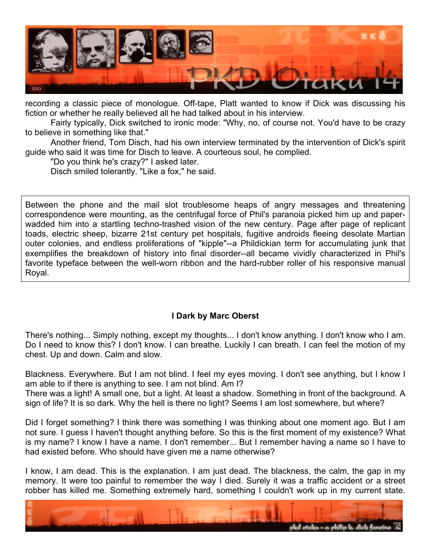

recording a classic piece of monologue. Off-tape, Platt wanted to know if Dick was discussing his fiction or whether he really believed all he had talked about in his interview.

Fairly typically, Dick switched to ironic mode: "Why, no, of course not. You'd have to be crazy to believe in something like that."

Another friend, Tom Disch, had his own interview terminated by the intervention of Dick's spirit guide who said it was time for Disch to leave. A courteous soul, he complied.

"Do you think he's crazy?" I asked later.

Disch smiled tolerantly. "Like a fox," he said.

Between the phone and the mail slot troublesome heaps of angry messages and threatening correspondence were mounting, as the centrifugal force of Phil's paranoia picked him up and paperwadded him into a startling techno-trashed vision of the new century. Page after page of replicant toads, electric sheep, bizarre 21st century pet hospitals, fugitive androids fleeing desolate Martian outer colonies, and endless proliferations of "kipple"--a Phildickian term for accumulating junk that exemplifies the breakdown of history into final disorder--all became vividly characterized in Phil's favorite typeface between the well-worn ribbon and the hard-rubber roller of his responsive manual Royal.

# **I Dark by Marc Oberst**

There's nothing... Simply nothing, except my thoughts... I don't know anything. I don't know who I am. Do I need to know this? I don't know. I can breathe. Luckily I can breath. I can feel the motion of my chest. Up and down. Calm and slow.

Blackness. Everywhere. But I am not blind. I feel my eyes moving. I don't see anything, but I know I am able to if there is anything to see. I am not blind. Am I? There was a light! A small one, but a light. At least a shadow. Something in front of the background. A sign of life? It is so dark. Why the hell is there no light? Seems I am lost somewhere, but where?

Did I forget something? I think there was something I was thinking about one moment ago. But I am not sure. I guess I haven't thought anything before. So this is the first moment of my existence? What is my name? I know I have a name. I don't remember... But I remember having a name so I have to had existed before. Who should have given me a name otherwise?

I know, I am dead. This is the explanation. I am just dead. The blackness, the calm, the gap in my memory. It were too painful to remember the way I died. Surely it was a traffic accident or a street robber has killed me. Something extremely hard, something I couldn't work up in my current state.

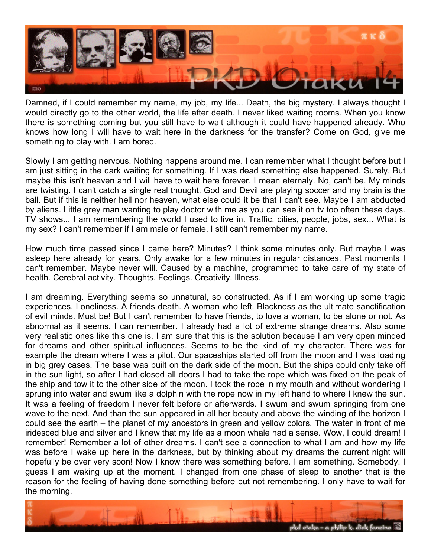

Damned, if I could remember my name, my job, my life... Death, the big mystery. I always thought I would directly go to the other world, the life after death. I never liked waiting rooms. When you know there is something coming but you still have to wait although it could have happened already. Who knows how long I will have to wait here in the darkness for the transfer? Come on God, give me something to play with. I am bored.

Slowly I am getting nervous. Nothing happens around me. I can remember what I thought before but I am just sitting in the dark waiting for something. If I was dead something else happened. Surely. But maybe this isn't heaven and I will have to wait here forever. I mean eternaly. No, can't be. My minds are twisting. I can't catch a single real thought. God and Devil are playing soccer and my brain is the ball. But if this is neither hell nor heaven, what else could it be that I can't see. Maybe I am abducted by aliens. Little grey man wanting to play doctor with me as you can see it on tv too often these days. TV shows... I am remembering the world I used to live in. Traffic, cities, people, jobs, sex... What is my sex? I can't remember if I am male or female. I still can't remember my name.

How much time passed since I came here? Minutes? I think some minutes only. But maybe I was asleep here already for years. Only awake for a few minutes in regular distances. Past moments I can't remember. Maybe never will. Caused by a machine, programmed to take care of my state of health. Cerebral activity. Thoughts. Feelings. Creativity. Illness.

I am dreaming. Everything seems so unnatural, so constructed. As if I am working up some tragic experiences. Loneliness. A friends death. A woman who left. Blackness as the ultimate sanctification of evil minds. Must be! But I can't remember to have friends, to love a woman, to be alone or not. As abnormal as it seems. I can remember. I already had a lot of extreme strange dreams. Also some very realistic ones like this one is. I am sure that this is the solution because I am very open minded for dreams and other spiritual influences. Seems to be the kind of my character. There was for example the dream where I was a pilot. Our spaceships started off from the moon and I was loading in big grey cases. The base was built on the dark side of the moon. But the ships could only take off in the sun light, so after I had closed all doors I had to take the rope which was fixed on the peak of the ship and tow it to the other side of the moon. I took the rope in my mouth and without wondering I sprung into water and swum like a dolphin with the rope now in my left hand to where I knew the sun. It was a feeling of freedom I never felt before or afterwards. I swum and swum springing from one wave to the next. And than the sun appeared in all her beauty and above the winding of the horizon I could see the earth – the planet of my ancestors in green and yellow colors. The water in front of me iridesced blue and silver and I knew that my life as a moon whale had a sense. Wow, I could dream! I remember! Remember a lot of other dreams. I can't see a connection to what I am and how my life was before I wake up here in the darkness, but by thinking about my dreams the current night will hopefully be over very soon! Now I know there was something before. I am something. Somebody. I guess I am waking up at the moment. I changed from one phase of sleep to another that is the reason for the feeling of having done something before but not remembering. I only have to wait for the morning.